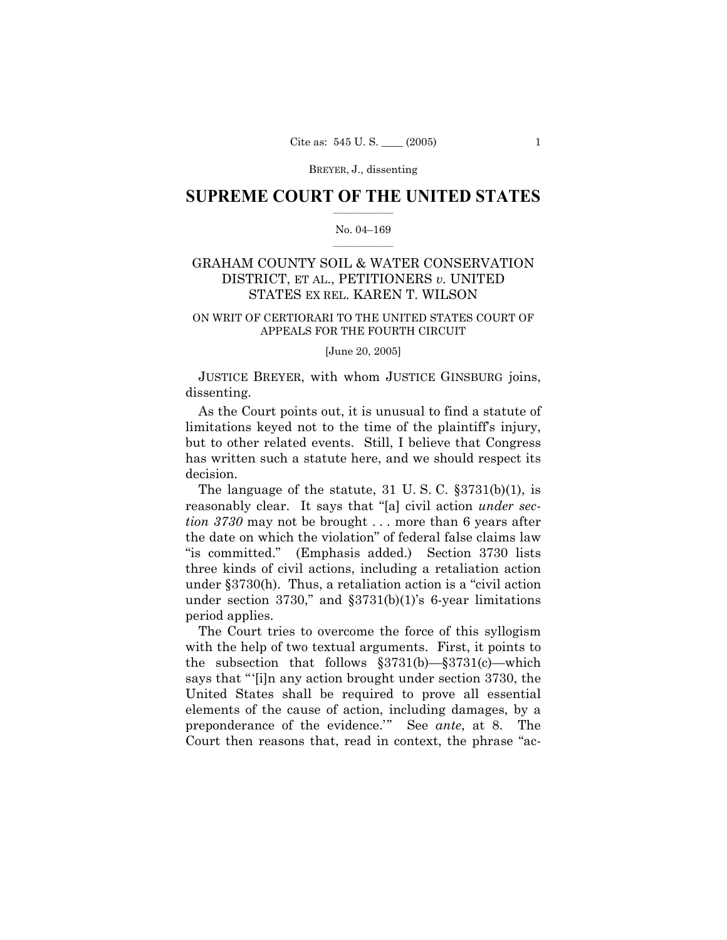BREYER, J., dissenting

# **SUPREME COURT OF THE UNITED STATES**  $\frac{1}{2}$  ,  $\frac{1}{2}$  ,  $\frac{1}{2}$  ,  $\frac{1}{2}$  ,  $\frac{1}{2}$  ,  $\frac{1}{2}$  ,  $\frac{1}{2}$

### No. 04-169  $\mathcal{L}=\mathcal{L}$

# GRAHAM COUNTY SOIL & WATER CONSERVATION DISTRICT, ET AL., PETITIONERS *v.* UNITED STATES EX REL. KAREN T. WILSON

### ON WRIT OF CERTIORARI TO THE UNITED STATES COURT OF APPEALS FOR THE FOURTH CIRCUIT

[June 20, 2005]

 JUSTICE BREYER, with whom JUSTICE GINSBURG joins, dissenting.

 As the Court points out, it is unusual to find a statute of limitations keyed not to the time of the plaintiff's injury, but to other related events. Still, I believe that Congress has written such a statute here, and we should respect its decision.

The language of the statute,  $31 \text{ U.S. C. }$   $\S 3731(b)(1)$ , is reasonably clear. It says that "[a] civil action *under section 3730* may not be brought . . . more than 6 years after the date on which the violation" of federal false claims law "is committed." (Emphasis added.) Section 3730 lists three kinds of civil actions, including a retaliation action under  $\S 3730(h)$ . Thus, a retaliation action is a "civil action under section 3730," and  $$3731(b)(1)$ 's 6-year limitations period applies.

 The Court tries to overcome the force of this syllogism with the help of two textual arguments. First, it points to the subsection that follows  $\S 3731(b) - \S 3731(c)$  which says that "[i]n any action brought under section 3730, the United States shall be required to prove all essential elements of the cause of action, including damages, by a preponderance of the evidence.<sup>"</sup> See *ante*, at 8. The Court then reasons that, read in context, the phrase "ac-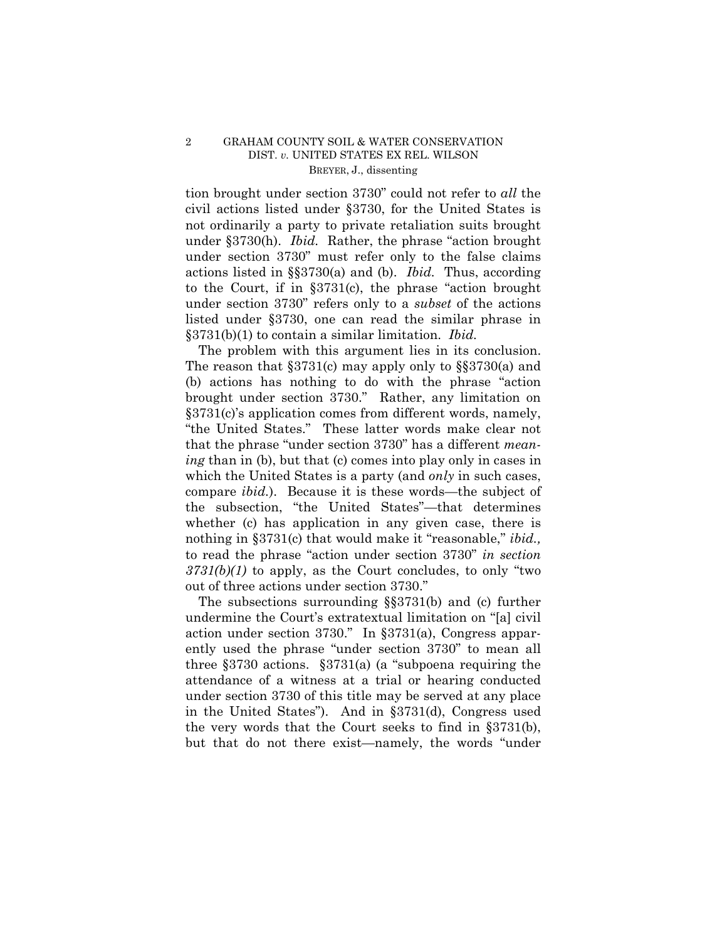# 2 GRAHAM COUNTY SOIL & WATER CONSERVATION DIST. *v.* UNITED STATES EX REL. WILSON BREYER, J., dissenting

tion brought under section 3730" could not refer to *all* the civil actions listed under ß3730, for the United States is not ordinarily a party to private retaliation suits brought under §3730(h). *Ibid.* Rather, the phrase "action brought" under section 3730" must refer only to the false claims actions listed in ßß3730(a) and (b). *Ibid.* Thus, according to the Court, if in  $\S 3731(c)$ , the phrase "action brought" under section 3730î refers only to a *subset* of the actions listed under ß3730, one can read the similar phrase in ß3731(b)(1) to contain a similar limitation. *Ibid.*

 The problem with this argument lies in its conclusion. The reason that  $\S 3731(c)$  may apply only to  $\S 3730(a)$  and  $(b)$  actions has nothing to do with the phrase "action" brought under section 3730." Rather, any limitation on  $\S 3731(c)$ 's application comes from different words, namely, "the United States." These latter words make clear not that the phrase "under section 3730" has a different *meaning* than in (b), but that (c) comes into play only in cases in which the United States is a party (and *only* in such cases, compare *ibid.*). Because it is these words—the subject of the subsection, "the United States"—that determines whether (c) has application in any given case, there is nothing in §3731(c) that would make it "reasonable," *ibid.*, to read the phrase "action under section 3730" *in section*  $3731(b)(1)$  to apply, as the Court concludes, to only "two out of three actions under section 3730."

The subsections surrounding  $\S$  $3731(b)$  and (c) further undermine the Court's extratextual limitation on "[a] civil action under section 3730." In  $\S 3731(a)$ , Congress apparently used the phrase "under section 3730" to mean all three  $\S 3730$  actions.  $\S 3731(a)$  (a "subpoena requiring the attendance of a witness at a trial or hearing conducted under section 3730 of this title may be served at any place in the United States"). And in  $\S 3731(d)$ , Congress used the very words that the Court seeks to find in ß3731(b), but that do not there exist—namely, the words "under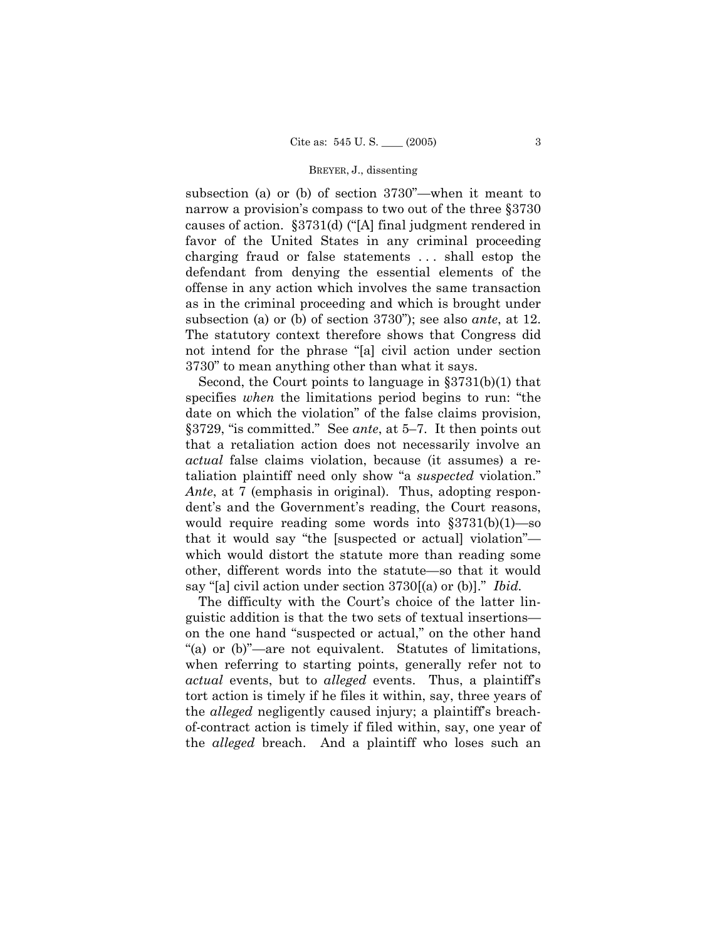#### BREYER, J., dissenting

subsection (a) or (b) of section  $3730^{\circ}$ —when it meant to narrow a provision's compass to two out of the three §3730 causes of action.  $\S 3731(d)$  ("[A] final judgment rendered in favor of the United States in any criminal proceeding charging fraud or false statements . . . shall estop the defendant from denying the essential elements of the offense in any action which involves the same transaction as in the criminal proceeding and which is brought under subsection (a) or (b) of section 3730"); see also *ante*, at 12. The statutory context therefore shows that Congress did not intend for the phrase "[a] civil action under section 3730î to mean anything other than what it says.

 Second, the Court points to language in ß3731(b)(1) that specifies *when* the limitations period begins to run: "the date on which the violation" of the false claims provision, §3729, "is committed." See *ante*, at 5-7. It then points out that a retaliation action does not necessarily involve an *actual* false claims violation, because (it assumes) a retaliation plaintiff need only show "a *suspected* violation." *Ante*, at 7 (emphasis in original). Thus, adopting respondent's and the Government's reading, the Court reasons, would require reading some words into  $$3731(b)(1)$ —so that it would say "the [suspected or actual] violation" which would distort the statute more than reading some other, different words into the statute—so that it would say "[a] civil action under section 3730[(a) or (b)]." *Ibid.* 

The difficulty with the Court's choice of the latter linguistic addition is that the two sets of textual insertions on the one hand "suspected or actual," on the other hand "(a) or  $(b)$ "—are not equivalent. Statutes of limitations, when referring to starting points, generally refer not to *actual* events, but to *alleged* events. Thus, a plaintiffís tort action is timely if he files it within, say, three years of the *alleged* negligently caused injury; a plaintiff's breachof-contract action is timely if filed within, say, one year of the *alleged* breach. And a plaintiff who loses such an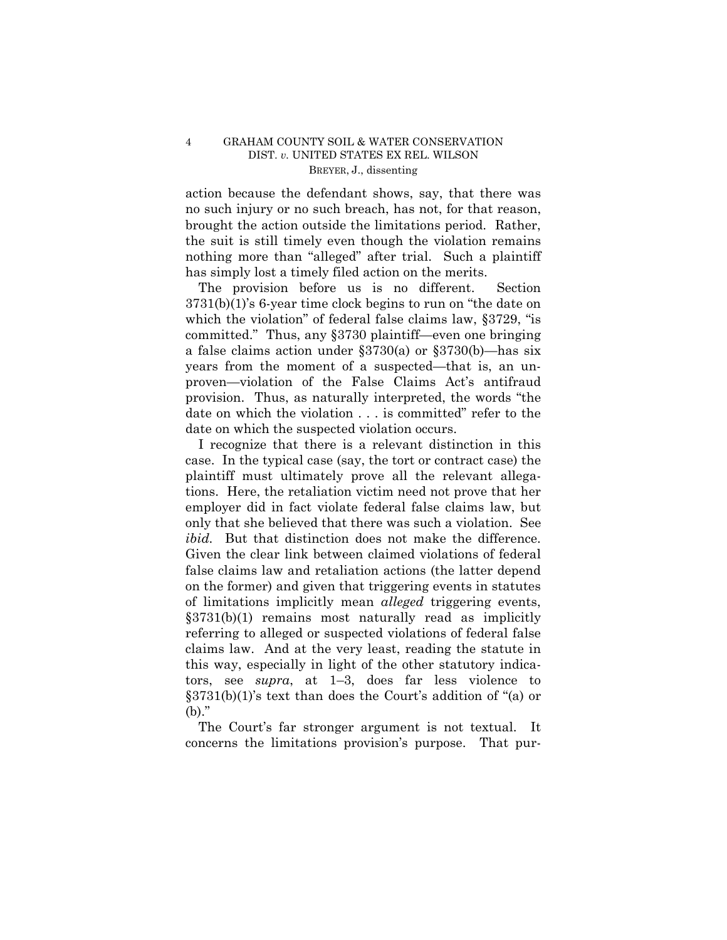# 4 GRAHAM COUNTY SOIL & WATER CONSERVATION DIST. *v.* UNITED STATES EX REL. WILSON BREYER, J., dissenting

action because the defendant shows, say, that there was no such injury or no such breach, has not, for that reason, brought the action outside the limitations period. Rather, the suit is still timely even though the violation remains nothing more than "alleged" after trial. Such a plaintiff has simply lost a timely filed action on the merits.

 The provision before us is no different. Section  $3731(b)(1)$ 's 6-year time clock begins to run on "the date on which the violation" of federal false claims law,  $\S 3729$ , "is committed." Thus, any  $\S 3730$  plaintiff—even one bringing a false claims action under  $\S 3730(a)$  or  $\S 3730(b)$ —has six years from the moment of a suspected—that is, an unproven—violation of the False Claims Act's antifraud provision. Thus, as naturally interpreted, the words "the date on which the violation . . . is committed" refer to the date on which the suspected violation occurs.

 I recognize that there is a relevant distinction in this case. In the typical case (say, the tort or contract case) the plaintiff must ultimately prove all the relevant allegations. Here, the retaliation victim need not prove that her employer did in fact violate federal false claims law, but only that she believed that there was such a violation. See *ibid.* But that distinction does not make the difference. Given the clear link between claimed violations of federal false claims law and retaliation actions (the latter depend on the former) and given that triggering events in statutes of limitations implicitly mean *alleged* triggering events,  $§3731(b)(1)$  remains most naturally read as implicitly referring to alleged or suspected violations of federal false claims law. And at the very least, reading the statute in this way, especially in light of the other statutory indicators, see  $\textit{supra}$ , at 1–3, does far less violence to  $\S 3731(b)(1)$ 's text than does the Court's addition of "(a) or  $(b)$ ."

The Court's far stronger argument is not textual. It concerns the limitations provisionís purpose. That pur-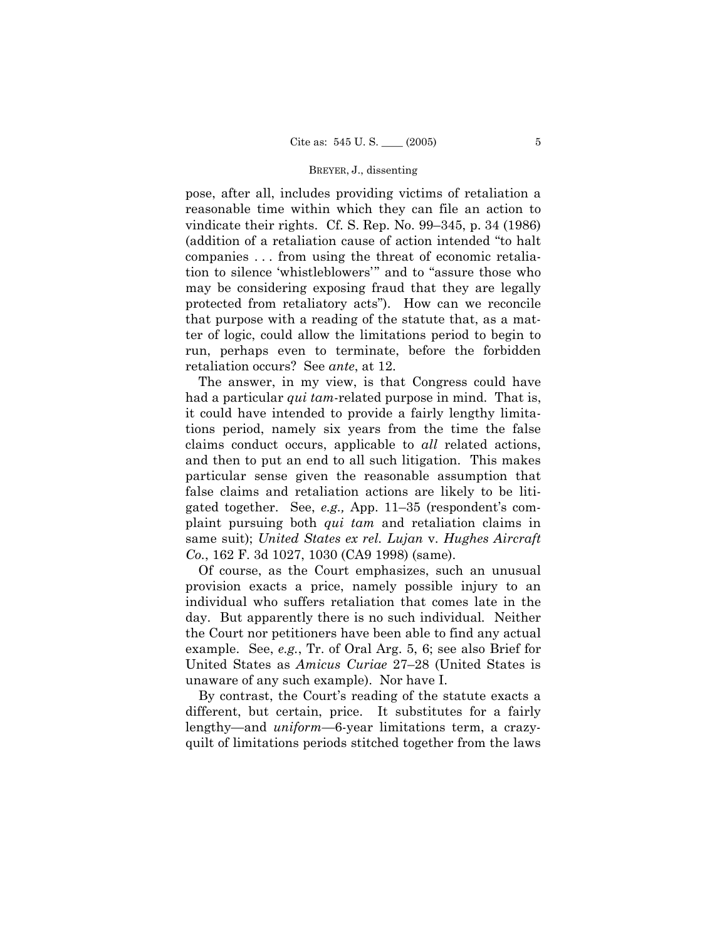#### BREYER, J., dissenting

pose, after all, includes providing victims of retaliation a reasonable time within which they can file an action to vindicate their rights. Cf. S. Rep. No.  $99-345$ , p. 34 (1986) (addition of a retaliation cause of action intended "to halt companies . . . from using the threat of economic retaliation to silence 'whistleblowers'" and to "assure those who may be considering exposing fraud that they are legally protected from retaliatory acts"). How can we reconcile that purpose with a reading of the statute that, as a matter of logic, could allow the limitations period to begin to run, perhaps even to terminate, before the forbidden retaliation occurs? See *ante*, at 12.

 The answer, in my view, is that Congress could have had a particular *qui tam*-related purpose in mind. That is, it could have intended to provide a fairly lengthy limitations period, namely six years from the time the false claims conduct occurs, applicable to *all* related actions, and then to put an end to all such litigation. This makes particular sense given the reasonable assumption that false claims and retaliation actions are likely to be litigated together. See, *e.g.*, App. 11–35 (respondent's complaint pursuing both *qui tam* and retaliation claims in same suit); *United States ex rel. Lujan* v. *Hughes Aircraft Co.*, 162 F. 3d 1027, 1030 (CA9 1998) (same).

 Of course, as the Court emphasizes, such an unusual provision exacts a price, namely possible injury to an individual who suffers retaliation that comes late in the day. But apparently there is no such individual*.* Neither the Court nor petitioners have been able to find any actual example. See, *e.g.*, Tr. of Oral Arg. 5, 6; see also Brief for United States as *Amicus Curiae* 27–28 (United States is unaware of any such example). Nor have I.

By contrast, the Court's reading of the statute exacts a different, but certain, price. It substitutes for a fairly lengthy—and *uniform*—6-year limitations term, a crazyquilt of limitations periods stitched together from the laws